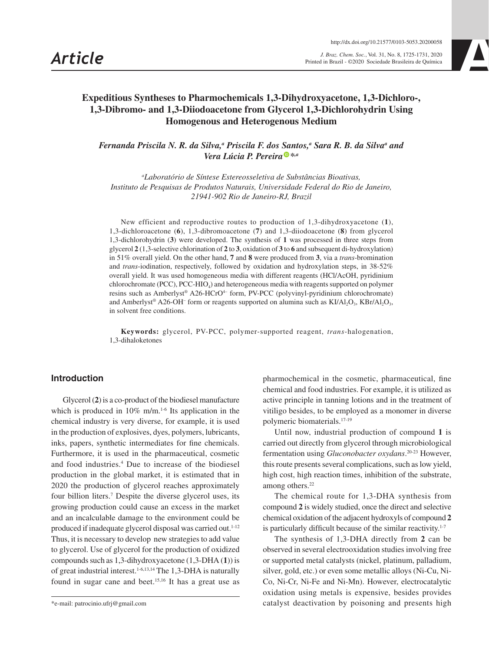*Article J. Braz. Chem. Soc.*, Vol. 31, No. 8, 1725-1731, 2020 Printed in Brazil - ©2020 Sociedade Brasileira de Química

# **Expeditious Syntheses to Pharmochemicals 1,3-Dihydroxyacetone, 1,3-Dichloro-, 1,3-Dibromo- and 1,3-Diiodoacetone from Glycerol 1,3-Dichlorohydrin Using Homogenous and Heterogenous Medium**

*Fernanda Priscila N. R. da Silva,<sup>a</sup> Priscila F. dos Santos,<sup>a</sup> Sara R. B. da Silva<sup>a</sup> and Vera Lúcia P. Pereira [\\*](https://orcid.org/0000-0003-4380-823X),a*

*a Laboratório de Síntese Estereosseletiva de Substâncias Bioativas, Instituto de Pesquisas de Produtos Naturais, Universidade Federal do Rio de Janeiro, 21941-902 Rio de Janeiro-RJ, Brazil*

New efficient and reproductive routes to production of 1,3-dihydroxyacetone (**1**), 1,3-dichloroacetone (**6**), 1,3-dibromoacetone (**7**) and 1,3-diiodoacetone (**8**) from glycerol 1,3-dichlorohydrin (**3**) were developed. The synthesis of **1** was processed in three steps from glycerol **2** (1,3-selective chlorination of **2** to **3**, oxidation of **3** to **6** and subsequent di-hydroxylation) in 51% overall yield. On the other hand, **7** and **8** were produced from **3**, via a *trans*-bromination and *trans*-iodination, respectively, followed by oxidation and hydroxylation steps, in 38-52% overall yield. It was used homogeneous media with different reagents (HCl/AcOH, pyridinium chlorochromate (PCC), PCC-HIO<sub>4</sub>) and heterogeneous media with reagents supported on polymer resins such as Amberlyst® A26-HCrO<sup>4–</sup> form, PV-PCC (polyvinyl-pyridinium chlorochromate) and Amberlyst® A26-OH<sup>-</sup> form or reagents supported on alumina such as  $K I/A I_2 O_3$ ,  $K B r/A I_2 O_3$ , in solvent free conditions.

**Keywords:** glycerol, PV-PCC, polymer-supported reagent, *trans*-halogenation, 1,3-dihaloketones

# **Introduction**

Glycerol (**2**) is a co-product of the biodiesel manufacture which is produced in  $10\%$  m/m.<sup>1-6</sup> Its application in the chemical industry is very diverse, for example, it is used in the production of explosives, dyes, polymers, lubricants, inks, papers, synthetic intermediates for fine chemicals. Furthermore, it is used in the pharmaceutical, cosmetic and food industries.4 Due to increase of the biodiesel production in the global market, it is estimated that in 2020 the production of glycerol reaches approximately four billion liters.<sup>7</sup> Despite the diverse glycerol uses, its growing production could cause an excess in the market and an incalculable damage to the environment could be produced if inadequate glycerol disposal was carried out.<sup>1-12</sup> Thus, it is necessary to develop new strategies to add value to glycerol. Use of glycerol for the production of oxidized compounds such as 1,3-dihydroxyacetone (1,3-DHA (**1**)) is of great industrial interest.<sup>1-6,13,14</sup> The 1,3-DHA is naturally found in sugar cane and beet.15,16 It has a great use as pharmochemical in the cosmetic, pharmaceutical, fine chemical and food industries. For example, it is utilized as active principle in tanning lotions and in the treatment of vitiligo besides, to be employed as a monomer in diverse polymeric biomaterials.17-19

Until now, industrial production of compound **1** is carried out directly from glycerol through microbiological fermentation using *Gluconobacter oxydans*. 20-23 However, this route presents several complications, such as low yield, high cost, high reaction times, inhibition of the substrate, among others.<sup>22</sup>

The chemical route for 1,3-DHA synthesis from compound **2** is widely studied, once the direct and selective chemical oxidation of the adjacent hydroxyls of compound **2** is particularly difficult because of the similar reactivity.<sup>1-7</sup>

The synthesis of 1,3-DHA directly from **2** can be observed in several electrooxidation studies involving free or supported metal catalysts (nickel, platinum, palladium, silver, gold, etc.) or even some metallic alloys (Ni-Cu, Ni-Co, Ni-Cr, Ni-Fe and Ni-Mn). However, electrocatalytic oxidation using metals is expensive, besides provides catalyst deactivation by poisoning and presents high

<sup>\*</sup>e-mail: patrocinio.ufrj@gmail.com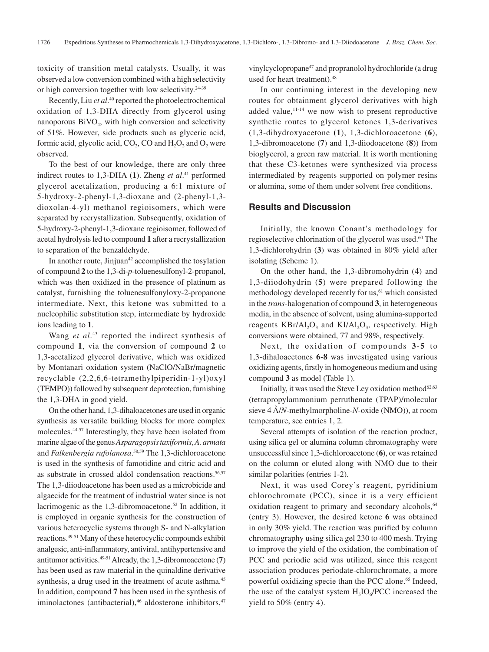toxicity of transition metal catalysts. Usually, it was observed a low conversion combined with a high selectivity or high conversion together with low selectivity.24-39

Recently, Liu *et al*.<sup>40</sup> reported the photoelectrochemical oxidation of 1,3-DHA directly from glycerol using nanoporous  $BiVO<sub>4</sub>$ , with high conversion and selectivity of 51%. However, side products such as glyceric acid, formic acid, glycolic acid,  $CO<sub>2</sub>$ ,  $CO$  and  $H<sub>2</sub>O<sub>2</sub>$  and  $O<sub>2</sub>$  were observed.

To the best of our knowledge, there are only three indirect routes to 1,3-DHA (**1**). Zheng *et al*. 41 performed glycerol acetalization, producing a 6:1 mixture of 5-hydroxy-2-phenyl-1,3-dioxane and (2-phenyl-1,3 dioxolan-4-yl) methanol regioisomers, which were separated by recrystallization. Subsequently, oxidation of 5-hydroxy-2-phenyl-1,3-dioxane regioisomer, followed of acetal hydrolysis led to compound **1** after a recrystallization to separation of the benzaldehyde.

In another route, Jinjuan<sup>42</sup> accomplished the tosylation of compound **2** to the 1,3-di-*p*-toluenesulfonyl-2-propanol, which was then oxidized in the presence of platinum as catalyst, furnishing the toluenesulfonyloxy-2-propanone intermediate. Next, this ketone was submitted to a nucleophilic substitution step, intermediate by hydroxide ions leading to **1**.

Wang *et al*. 43 reported the indirect synthesis of compound **1**, via the conversion of compound **2** to 1,3-acetalized glycerol derivative, which was oxidized by Montanari oxidation system (NaClO/NaBr/magnetic recyclable (2,2,6,6-tetramethylpiperidin-1-yl)oxyl (TEMPO)) followed by subsequent deprotection, furnishing the 1,3-DHA in good yield.

On the other hand, 1,3-dihaloacetones are used in organic synthesis as versatile building blocks for more complex molecules.44-57 Interestingly, they have been isolated from marine algae of the genus *Asparagopsistaxiformis*, *A. armata*  and *Falkenbergia rufolanosa*. 58,59 The 1,3-dichloroacetone is used in the synthesis of famotidine and citric acid and as substrate in crossed aldol condensation reactions.<sup>56,57</sup> The 1,3-diiodoacetone has been used as a microbicide and algaecide for the treatment of industrial water since is not lacrimogenic as the  $1,3$ -dibromoacetone.<sup>52</sup> In addition, it is employed in organic synthesis for the construction of various heterocyclic systems through S- and N-alkylation reactions.49-51 Many of these heterocyclic compounds exhibit analgesic, anti-inflammatory, antiviral, antihypertensive and antitumor activities.49-51 Already, the 1,3-dibromoacetone (**7**) has been used as raw material in the quinaldine derivative synthesis, a drug used in the treatment of acute asthma.<sup>45</sup> In addition, compound **7** has been used in the synthesis of iminolactones (antibacterial),<sup>46</sup> aldosterone inhibitors,<sup>47</sup>

vinylcyclopropane47 and propranolol hydrochloride (a drug used for heart treatment).<sup>48</sup>

In our continuing interest in the developing new routes for obtainment glycerol derivatives with high added value, $11-14$  we now wish to present reproductive synthetic routes to glycerol ketones 1,3-derivatives (1,3-dihydroxyacetone **(1**), 1,3-dichloroacetone (**6**), 1,3-dibromoacetone (**7**) and 1,3-diiodoacetone (**8**)) from bioglycerol, a green raw material. It is worth mentioning that these C3-ketones were synthesized via process intermediated by reagents supported on polymer resins or alumina, some of them under solvent free conditions.

# **Results and Discussion**

Initially, the known Conant's methodology for regioselective chlorination of the glycerol was used.<sup>60</sup> The 1,3-dichlorohydrin (**3**) was obtained in 80% yield after isolating (Scheme 1).

On the other hand, the 1,3-dibromohydrin (**4**) and 1,3-diiodohydrin (**5**) were prepared following the methodology developed recently for us,<sup>61</sup> which consisted in the *trans*-halogenation of compound **3**, in heterogeneous media, in the absence of solvent, using alumina-supported reagents  $KBr/Al_2O_3$  and  $KI/Al_2O_3$ , respectively. High conversions were obtained, 77 and 98%, respectively.

Next, the oxidation of compounds **3**-**5** to 1,3-dihaloacetones **6-8** was investigated using various oxidizing agents, firstly in homogeneous medium and using compound **3** as model (Table 1).

Initially, it was used the Steve Ley oxidation method<sup>62,63</sup> (tetrapropylammonium perruthenate (TPAP)/molecular sieve 4 Å/*N*-methylmorpholine-*N*-oxide (NMO)), at room temperature, see entries 1, 2.

Several attempts of isolation of the reaction product, using silica gel or alumina column chromatography were unsuccessful since 1,3-dichloroacetone (**6**), or was retained on the column or eluted along with NMO due to their similar polarities (entries 1-2).

Next, it was used Corey's reagent, pyridinium chlorochromate (PCC), since it is a very efficient oxidation reagent to primary and secondary alcohols,<sup>64</sup> (entry 3). However, the desired ketone **6** was obtained in only 30% yield. The reaction was purified by column chromatography using silica gel 230 to 400 mesh. Trying to improve the yield of the oxidation, the combination of PCC and periodic acid was utilized, since this reagent association produces periodate-chlorochromate, a more powerful oxidizing specie than the PCC alone.<sup>65</sup> Indeed, the use of the catalyst system  $H<sub>5</sub>IO<sub>6</sub>/PCC$  increased the yield to 50% (entry 4).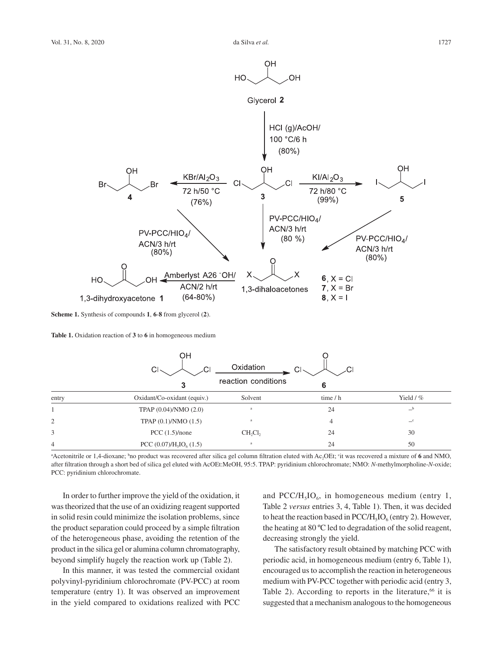

**Scheme 1.** Synthesis of compounds **1**, **6**-**8** from glycerol (**2**).

**Table 1.** Oxidation reaction of **3** to **6** in homogeneous medium

|       | OH<br>Cl <sub>2</sub>       | Oxidation           | CI-      |               |
|-------|-----------------------------|---------------------|----------|---------------|
|       | 3                           | reaction conditions | 6        |               |
| entry | Oxidant/Co-oxidant (equiv.) | Solvent             | time / h | Yield $/$ %   |
|       | TPAP (0.04)/NMO (2.0)       | a                   | 24       | $-b$          |
| 2     | TPAP $(0.1)$ /NMO $(1.5)$   | a                   | 4        | $\mathcal{C}$ |
| 3     | PCC $(1.5)/none$            | $CH_2Cl_2$          | 24       | 30            |
| 4     | PCC $(0.07)/H5IO6 (1.5)$    | $\rm{a}$            | 24       | 50            |

Acetonitrile or 1,4-dioxane; <sup>b</sup>no product was recovered after silica gel column filtration eluted with Ac<sub>2</sub>OEt; <sup>c</sup>it was recovered a mixture of 6 and NMO, after filtration through a short bed of silica gel eluted with AcOEt:MeOH, 95:5. TPAP: pyridinium chlorochromate; NMO: *N*-methylmorpholine-*N*-oxide; PCC: pyridinium chlorochromate.

In order to further improve the yield of the oxidation, it was theorized that the use of an oxidizing reagent supported in solid resin could minimize the isolation problems, since the product separation could proceed by a simple filtration of the heterogeneous phase, avoiding the retention of the product in the silica gel or alumina column chromatography, beyond simplify hugely the reaction work up (Table 2).

In this manner, it was tested the commercial oxidant polyvinyl-pyridinium chlorochromate (PV-PCC) at room temperature (entry 1). It was observed an improvement in the yield compared to oxidations realized with PCC and PCC/H<sub>5</sub>IO<sub>6</sub>, in homogeneous medium (entry 1, Table 2 *versus* entries 3, 4, Table 1). Then, it was decided to heat the reaction based in PCC/H<sub>5</sub>IO<sub>6</sub> (entry 2). However, the heating at 80 ºC led to degradation of the solid reagent, decreasing strongly the yield.

The satisfactory result obtained by matching PCC with periodic acid, in homogeneous medium (entry 6, Table 1), encouraged us to accomplish the reaction in heterogeneous medium with PV-PCC together with periodic acid (entry 3, Table 2). According to reports in the literature, $66$  it is suggested that a mechanism analogous to the homogeneous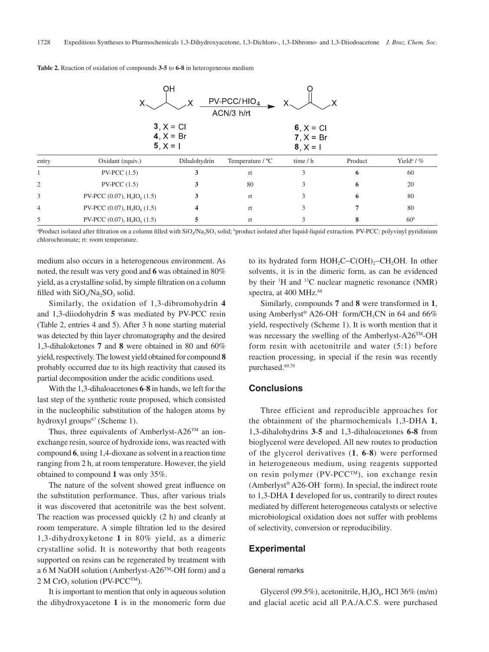| OН<br>$PV-PCC/HIO4$<br>ACN/3 h/rt |                                                          |                         |                  |                                          |         |                        |  |  |  |
|-----------------------------------|----------------------------------------------------------|-------------------------|------------------|------------------------------------------|---------|------------------------|--|--|--|
|                                   | $3, X = C1$<br>4, $X = Br$<br>$5, X = 1$                 |                         |                  | 6, $X = CI$<br>$7, X = Br$<br>$8, X = 1$ |         |                        |  |  |  |
| entry                             | Oxidant (equiv.)                                         | Dihalohydrin            | Temperature / °C | time / h                                 | Product | Yield <sup>a</sup> / % |  |  |  |
|                                   | $PV\text{-}PCC(1.5)$                                     |                         | rt               | 3                                        | 6       | 60                     |  |  |  |
|                                   | $PV-PCC(1.5)$                                            | 3                       | 80               | 3                                        | 6       | 20                     |  |  |  |
|                                   | PV-PCC (0.07), $H_5IO_6$ (1.5)                           | 3                       | rt               | 3                                        | 6       | 80                     |  |  |  |
| 4                                 | PV-PCC (0.07), $H5IO6 (1.5)$                             | $\overline{\mathbf{4}}$ | rt               | 3                                        |         | 80                     |  |  |  |
|                                   | PV-PCC $(0.07)$ , H <sub>5</sub> IO <sub>6</sub> $(1.5)$ |                         | rt               | 3                                        | 8       | 60 <sup>b</sup>        |  |  |  |

**Table 2.** Reaction of oxidation of compounds **3-5** to **6-8** in heterogeneous medium

<sup>a</sup>Product isolated after filtration on a column filled with SiO<sub>4</sub>/Na<sub>2</sub>SO<sub>3</sub> solid; <sup>b</sup>product isolated after liquid-liquid extraction. PV-PCC: polyvinyl pyridinium chlorochromate; rt: room temperature.

medium also occurs in a heterogeneous environment. As noted, the result was very good and **6** was obtained in 80% yield, as a crystalline solid, by simple filtration on a column filled with  $SiO<sub>4</sub>/Na<sub>2</sub>SO<sub>3</sub>$  solid.

Similarly, the oxidation of 1,3-dibromohydrin **4** and 1,3-diiodohydrin **5** was mediated by PV-PCC resin (Table 2, entries 4 and 5). After 3 h none starting material was detected by thin layer chromatography and the desired 1,3-dihaloketones **7** and **8** were obtained in 80 and 60% yield, respectively. The lowest yield obtained for compound **8**  probably occurred due to its high reactivity that caused its partial decomposition under the acidic conditions used.

With the 1,3-dihaloacetones **6**-**8** in hands, we left for the last step of the synthetic route proposed, which consisted in the nucleophilic substitution of the halogen atoms by hydroxyl groups<sup>67</sup> (Scheme 1).

Thus, three equivalents of Amberlyst-A26<sup>TM</sup> an ionexchange resin, source of hydroxide ions, was reacted with compound **6**, using 1,4-dioxane as solvent in a reaction time ranging from 2 h, at room temperature. However, the yield obtained to compound **1** was only 35%.

The nature of the solvent showed great influence on the substitution performance. Thus, after various trials it was discovered that acetonitrile was the best solvent. The reaction was processed quickly (2 h) and cleanly at room temperature. A simple filtration led to the desired 1,3-dihydroxyketone **1** in 80% yield, as a dimeric crystalline solid. It is noteworthy that both reagents supported on resins can be regenerated by treatment with a 6 M NaOH solution (Amberlyst-A26TM-OH form) and a 2 M CrO<sub>3</sub> solution (PV-PCC<sup>TM</sup>).

It is important to mention that only in aqueous solution the dihydroxyacetone **1** is in the monomeric form due

to its hydrated form  $HOH_2C-C(OH)$ <sub>2</sub>-CH<sub>2</sub>OH. In other solvents, it is in the dimeric form, as can be evidenced by their <sup>1</sup>H and <sup>13</sup>C nuclear magnetic resonance (NMR) spectra, at 400 MHz.<sup>68</sup>

Similarly, compounds **7** and **8** were transformed in **1**, using Amberlyst® A26-OH<sup>-</sup> form/CH<sub>3</sub>CN in 64 and 66% yield, respectively (Scheme 1). It is worth mention that it was necessary the swelling of the Amberlyst-A26TM-OH form resin with acetonitrile and water (5:1) before reaction processing, in special if the resin was recently purchased.69,70

# **Conclusions**

Three efficient and reproducible approaches for the obtainment of the pharmochemicals 1,3-DHA **1**, 1,3-dihalohydrins **3**-**5** and 1,3-dihaloacetones **6-8** from bioglycerol were developed. All new routes to production of the glycerol derivatives (**1**, **6**-**8**) were performed in heterogeneous medium, using reagents supported on resin polymer (PV-PCCTM), ion exchange resin (Amberlyst® A26-OH– form). In special, the indirect route to 1,3-DHA **1** developed for us, contrarily to direct routes mediated by different heterogeneous catalysts or selective microbiological oxidation does not suffer with problems of selectivity, conversion or reproducibility.

### **Experimental**

#### General remarks

Glycerol (99.5%), acetonitrile,  $H<sub>5</sub>IO<sub>6</sub>$ , HCl 36% (m/m) and glacial acetic acid all P.A./A.C.S. were purchased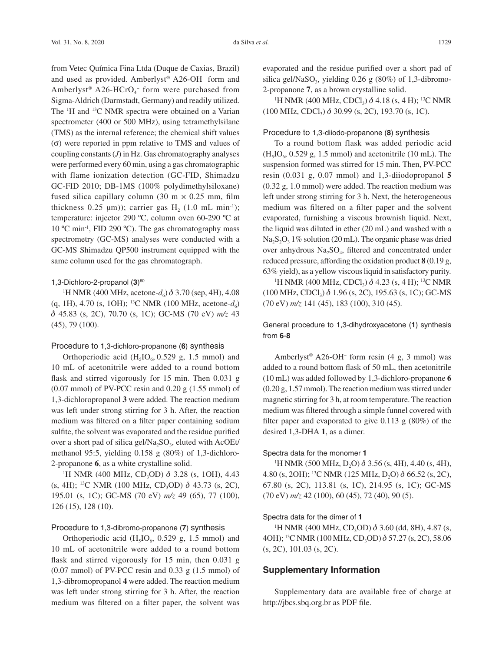from Vetec Química Fina Ltda (Duque de Caxias, Brazil) and used as provided. Amberlyst® A26-OH– form and Amberlyst® A26-HCrO<sub>4</sub><sup>-</sup> form were purchased from Sigma-Aldrich (Darmstadt, Germany) and readily utilized. The  $H$  and  $H$ <sup>13</sup>C NMR spectra were obtained on a Varian spectrometer (400 or 500 MHz), using tetramethylsilane (TMS) as the internal reference; the chemical shift values (σ) were reported in ppm relative to TMS and values of coupling constants (*J*) in Hz. Gas chromatography analyses were performed every 60 min, using a gas chromatographic with flame ionization detection (GC-FID, Shimadzu GC-FID 2010; DB-1MS (100% polydimethylsiloxane) fused silica capillary column  $(30 \text{ m} \times 0.25 \text{ mm})$ , film thickness 0.25  $\mu$ m)); carrier gas H<sub>2</sub> (1.0 mL min<sup>-1</sup>); temperature: injector 290 ºC, column oven 60-290 ºC at 10 ºC min-1, FID 290 ºC). The gas chromatography mass spectrometry (GC-MS) analyses were conducted with a GC-MS Shimadzu QP500 instrument equipped with the same column used for the gas chromatograph.

#### 1,3-Dichloro-2-propanol (3)<sup>60</sup>

<sup>1</sup>H NMR (400 MHz, acetone- $d_6$ )  $\delta$  3.70 (sep, 4H), 4.08 (q, 1H), 4.70 (s, 1OH); <sup>13</sup>C NMR (100 MHz, acetone- $d_6$ ) d 45.83 (s, 2C), 70.70 (s, 1C); GC-MS (70 eV) *m/z* 43 (45), 79 (100).

### Procedure to 1,3-dichloro-propanone (**6**) synthesis

Orthoperiodic acid  $(H<sub>5</sub>IO<sub>6</sub>, 0.529 g, 1.5 mmol)$  and 10 mL of acetonitrile were added to a round bottom flask and stirred vigorously for 15 min. Then 0.031 g  $(0.07 \text{ mmol})$  of PV-PCC resin and  $0.20 \text{ g}$   $(1.55 \text{ mmol})$  of 1,3-dichloropropanol **3** were added. The reaction medium was left under strong stirring for 3 h. After, the reaction medium was filtered on a filter paper containing sodium sulfite, the solvent was evaporated and the residue purified over a short pad of silica gel/Na<sub>2</sub>SO<sub>3</sub>, eluted with AcOEt/ methanol 95:5, yielding 0.158 g (80%) of 1,3-dichloro-2-propanone **6**, as a white crystalline solid.

<sup>1</sup>H NMR (400 MHz, CD<sub>3</sub>OD)  $\delta$  3.28 (s, 1OH), 4.43 (s, 4H); <sup>13</sup>C NMR (100 MHz, CD<sub>3</sub>OD)  $\delta$  43.73 (s, 2C), 195.01 (s, 1C); GC-MS (70 eV) *m/z* 49 (65), 77 (100), 126 (15), 128 (10).

#### Procedure to 1,3-dibromo-propanone (**7**) synthesis

Orthoperiodic acid  $(H<sub>5</sub>IO<sub>6</sub>, 0.529 g, 1.5 mmol)$  and 10 mL of acetonitrile were added to a round bottom flask and stirred vigorously for 15 min, then 0.031 g  $(0.07 \text{ mmol})$  of PV-PCC resin and  $(0.33 \text{ g} (1.5 \text{ mmol})$  of 1,3-dibromopropanol **4** were added. The reaction medium was left under strong stirring for 3 h. After, the reaction medium was filtered on a filter paper, the solvent was

evaporated and the residue purified over a short pad of silica gel/NaSO<sub>3</sub>, yielding  $0.26$  g  $(80%)$  of 1,3-dibromo-2-propanone **<sup>7</sup>**, as a brown crystalline solid. 1

<sup>1</sup>H NMR (400 MHz, CDCl<sub>3</sub>)  $\delta$  4.18 (s, 4 H); <sup>13</sup>C NMR  $(100 \text{ MHz}, \text{CDCl}_3)$   $\delta$  30.99 (s, 2C), 193.70 (s, 1C).

### Procedure to 1,3-diiodo-propanone (**8**) synthesis

To a round bottom flask was added periodic acid  $(H<sub>5</sub>IO<sub>6</sub>, 0.529 g, 1.5 mmol)$  and acetonitrile (10 mL). The suspension formed was stirred for 15 min. Then, PV-PCC resin (0.031 g, 0.07 mmol) and 1,3-diiodopropanol **5**  (0.32 g, 1.0 mmol) were added. The reaction medium was left under strong stirring for 3 h. Next, the heterogeneous medium was filtered on a filter paper and the solvent evaporated, furnishing a viscous brownish liquid. Next, the liquid was diluted in ether (20 mL) and washed with a  $Na<sub>2</sub>S<sub>2</sub>O<sub>3</sub> 1%$  solution (20 mL). The organic phase was dried over anhydrous Na<sub>2</sub>SO<sub>4</sub>, filtered and concentrated under reduced pressure, affording the oxidation product **8** (0.19 g, 63% yield), as a yellow viscous liquid in satisfactory purity. 1

<sup>1</sup>H NMR (400 MHz, CDCl<sub>3</sub>)  $\delta$  4.23 (s, 4 H); <sup>13</sup>C NMR  $(100 \text{ MHz}, \text{CDCl}_3)$   $\delta$  1.96 (s, 2C), 195.63 (s, 1C); GC-MS (70 eV) *m/z* 141 (45), 183 (100), 310 (45).

General procedure to 1,3-dihydroxyacetone (**1**) synthesis from **6**-**8**

Amberlyst® A26-OH– form resin (4 g, 3 mmol) was added to a round bottom flask of 50 mL, then acetonitrile (10 mL) was added followed by 1,3-dichloro-propanone **6** (0.20 g, 1.57 mmol). The reaction medium was stirred under magnetic stirring for 3 h, at room temperature. The reaction medium was filtered through a simple funnel covered with filter paper and evaporated to give  $0.113$  g  $(80\%)$  of the desired 1,3-DHA **1**, as a dimer.

#### Spectra data for the monomer **1**

<sup>1</sup>H NMR (500 MHz, D<sub>2</sub>O)  $\delta$  3.56 (s, 4H), 4.40 (s, 4H), 4.80 (s, 2OH); <sup>13</sup>C NMR (125 MHz, D<sub>2</sub>O)  $\delta$  66.52 (s, 2C), 67.80 (s, 2C), 113.81 (s, 1C), 214.95 (s, 1C); GC-MS (70 eV) *m/z* 42 (100), 60 (45), 72 (40), 90 (5).

# Spectra data for the dimer of **1**

<sup>1</sup>H NMR (400 MHz, CD<sub>3</sub>OD)  $\delta$  3.60 (dd, 8H), 4.87 (s, 4OH); <sup>13</sup>C NMR (100 MHz, CD<sub>3</sub>OD) δ 57.27 (s, 2C), 58.06 (s, 2C), 101.03 (s, 2C).

## **Supplementary Information**

Supplementary data are available free of charge at http://jbcs.sbq.org.br as PDF file.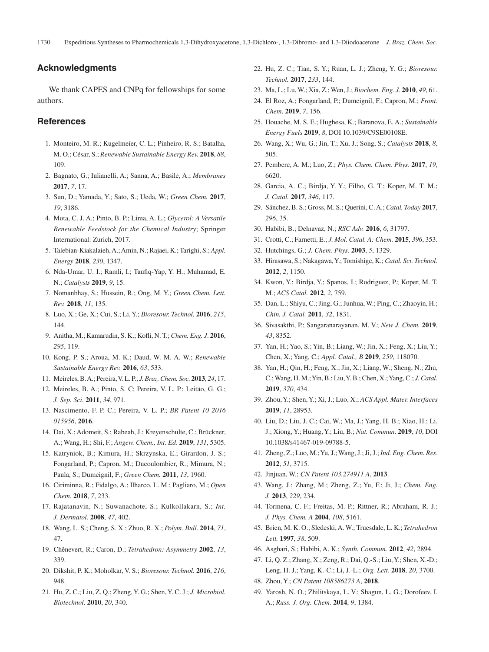# **Acknowledgments**

We thank CAPES and CNPq for fellowships for some authors.

# **References**

- 1. Monteiro, M. R.; Kugelmeier, C. L.; Pinheiro, R. S.; Batalha, M. O.; César, S.; *Renewable Sustainable Energy Rev.* **2018**, *88*, 109.
- 2. Bagnato, G.; Iulianelli, A.; Sanna, A.; Basile, A.; *Membranes* **2017**, *7*, 17.
- 3. Sun, D.; Yamada, Y.; Sato, S.; Ueda, W.; *Green Chem.* **2017**, *19*, 3186.
- 4. Mota, C. J. A.; Pinto, B. P.; Lima, A. L.; *Glycerol: A Versatile Renewable Feedstock for the Chemical Industry*; Springer International: Zurich, 2017.
- 5. Talebian-Kiakalaieh, A.; Amin, N.; Rajaei, K.; Tarighi, S.; *Appl. Energy* **2018**, *230*, 1347.
- 6. Nda-Umar, U. I.; Ramli, I.; Taufiq-Yap, Y. H.; Muhamad, E. N.; *Catalysts* **2019**, *9*, 15.
- 7. Nomanbhay, S.; Hussein, R.; Ong, M. Y.; *Green Chem. Lett. Rev.* **2018**, *11*, 135.
- 8. Luo, X.; Ge, X.; Cui, S.; Li, Y.; *Bioresour. Technol.* **2016**, *215*, 144.
- 9. Anitha, M.; Kamarudin, S. K.; Kofli, N. T.; *Chem. Eng. J*. **2016**, *295*, 119.
- 10. Kong, P. S.; Aroua, M. K.; Daud, W. M. A. W.; *Renewable Sustainable Energy Rev.* **2016**, *63*, 533.
- 11. Meireles, B. A.; Pereira, V. L. P.; *J.Braz. Chem. Soc.* **2013**, *24*, 17.
- 12. Meireles, B. A.; Pinto, S. C; Pereira, V. L. P.; Leitão, G. G.; *J. Sep. Sci*. **2011**, *34*, 971.
- 13. Nascimento, F. P. C.; Pereira, V. L. P.; *BR Patent 10 2016 015956*, **2016**.
- 14. Dai, X.; Adomeit, S.; Rabeah, J.; Kreyenschulte, C.; Brückner, A.; Wang, H.; Shi, F.; *Angew. Chem., Int. Ed*. **2019**, *131*, 5305.
- 15. Katryniok, B.; Kimura, H.; Skrzynska, E.; Girardon, J. S.; Fongarland, P.; Capron, M.; Ducoulombier, R.; Mimura, N.; Paula, S.; Dumeignil, F.; *Green Chem.* **2011**, *13*, 1960.
- 16. Ciriminna, R.; Fidalgo, A.; Ilharco, L. M.; Pagliaro, M.; *Open Chem.* **2018**, *7*, 233.
- 17. Rajatanavin, N.; Suwanachote, S.; Kulkollakarn, S.; *Int. J. Dermatol.* **2008**, *47*, 402.
- 18. Wang, L. S.; Cheng, S. X.; Zhuo, R. X.; *Polym. Bull*. **2014**, *71*, 47.
- 19. Chênevert, R.; Caron, D.; *Tetrahedron: Asymmetry* **2002**, *13*, 339.
- 20. Dikshit, P. K.; Moholkar, V. S.; *Bioresour. Technol.* **2016**, *216*, 948.
- 21. Hu, Z. C.; Liu, Z. Q.; Zheng, Y. G.; Shen, Y. C. J.; *J. Microbiol. Biotechnol*. **2010**, *20*, 340.
- 22. Hu, Z. C.; Tian, S. Y.; Ruan, L. J.; Zheng, Y. G.; *Bioresour. Technol.* **2017**, *233*, 144.
- 23. Ma, L.; Lu, W.; Xia, Z.; Wen, J.; *Biochem. Eng. J.* **2010**, *49*, 61.
- 24. El Roz, A.; Fongarland, P.; Dumeignil, F.; Capron, M.; *Front. Chem*. **2019**, *7*, 156.
- 25. Houache, M. S. E.; Hughesa, K.; Baranova, E. A.; *Sustainable Energy Fuels* **2019**, *8*, DOI 10.1039/C9SE00108E.
- 26. Wang, X.; Wu, G.; Jin, T.; Xu, J.; Song, S.; *Catalysts* **2018**, *8*, 505.
- 27. Pembere, A. M.; Luo, Z.; *Phys. Chem. Chem. Phys*. **2017**, *19*, 6620.
- 28. Garcia, A. C.; Birdja, Y. Y.; Filho, G. T.; Koper, M. T. M.; *J. Catal.* **2017**, *346*, 117.
- 29. Sánchez, B. S.; Gross, M. S.; Querini, C. A.; *Catal. Today* **2017**, *296*, 35.
- 30. Habibi, B.; Delnavaz, N.; *RSC Adv.* **2016**, *6*, 31797.
- 31. Crotti, C.; Farnetti, E.; *J. Mol. Catal. A: Chem.* **2015**, *396*, 353.
- 32. Hutchings, G.; *J. Chem. Phys.* **2003**, *5*, 1329.
- 33. Hirasawa, S.; Nakagawa, Y.; Tomishige, K.; *Catal. Sci. Technol*. **2012**, *2*, 1150.
- 34. Kwon, Y.; Birdja, Y.; Spanos, I.; Rodriguez, P.; Koper, M. T. M*.*; *ACS Catal.* **2012**, *2*, 759.
- 35. Dan, L.; Shiyu, C.; Jing, G.; Junhua, W.; Ping, C.; Zhaoyin, H.; *Chin. J. Catal.* **2011**, *32*, 1831.
- 36. Sivasakthi, P.; Sangaranarayanan, M. V.; *New J. Chem.* **2019**, *43*, 8352.
- 37. Yan, H.; Yao, S.; Yin, B.; Liang, W.; Jin, X.; Feng, X.; Liu, Y.; Chen, X.; Yang, C.; *Appl. Catal., B* **2019**, *259*, 118070.
- 38. Yan, H.; Qin, H.; Feng, X.; Jin, X.; Liang, W.; Sheng, N.; Zhu, C.; Wang, H. M.; Yin, B.; Liu, Y. B.; Chen, X.; Yang, C.; *J.Catal.* **2019**, *370*, 434.
- 39. Zhou, Y.; Shen, Y.; Xi, J.; Luo, X.; *ACS Appl. Mater. Interfaces*  **2019**, *11*, 28953.
- 40. Liu, D.; Liu, J. C.; Cai, W.; Ma, J.; Yang, H. B.; Xiao, H.; Li, J.; Xiong, Y.; Huang, Y.; Liu, B.; *Nat. Commun*. **2019**, *10*, DOI 10.1038/s41467-019-09788-5.
- 41. Zheng, Z.; Luo, M.; Yu, J.; Wang, J.; Ji, J.; *Ind. Eng. Chem. Res*. **2012**, *51*, 3715.
- 42. Jinjuan, W.; *CN Patent 103.274911 A*, **2013**.
- 43. Wang, J.; Zhang, M.; Zheng, Z.; Yu, F.; Ji, J.; *Chem. Eng. J.* **2013**, *229*, 234.
- 44. Tormena, C. F.; Freitas, M. P.; Rittner, R.; Abraham, R. J.; *J. Phys. Chem. A* **2004**, *108*, 5161.
- 45. Brien, M. K. O.; Sledeski, A. W.; Truesdale, L. K.; *Tetrahedron Lett.* **1997**, *38*, 509.
- 46. Asghari, S.; Habibi, A. K.; *Synth. Commun.* **2012**, *42*, 2894.
- 47. Li, Q. Z.; Zhang, X.; Zeng, R.; Dai, Q.-S.; Liu, Y.; Shen, X.-D.; Leng, H. J.; Yang, K.-C.; Li, J.-L.; *Org. Lett*. **2018**, *20*, 3700.
- 48. Zhou, Y.; *CN Patent 108586273 A*, **2018**.
- 49. Yarosh, N. O.; Zhilitskaya, L. V.; Shagun, L. G.; Dorofeev, I. A.; *Russ. J. Org. Chem.* **2014**, *9*, 1384.